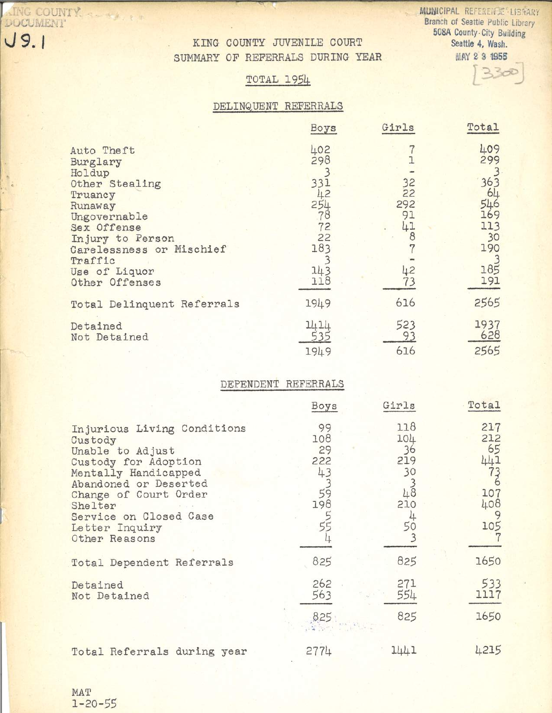AING COUNTY SERVICE  $J9.1$ 

KING COUNTY JUVENILE COURT SUMMARY OF REFERRALS DURING YEAR

MUNICIPAL REFERENCE LIBRARY Branch of Seattle Public Library 508A County-City Building Seattle 4, Wash. **MAY 2 3 1955** 

 $23c$ 

# **TOTAL 1954**

### DELINQUENT REFERRALS

|                                                                                                                                                                                                       | Boys                                                                  | Girls                                   | Total                                                                   |
|-------------------------------------------------------------------------------------------------------------------------------------------------------------------------------------------------------|-----------------------------------------------------------------------|-----------------------------------------|-------------------------------------------------------------------------|
| Auto Theft<br>Burglary<br>Holdup<br>Other Stealing<br>Truancy<br>Runaway<br>Ungovernable<br>Sex Offense<br>Injury to Person<br>Carelessness or Mischief<br>Traffic<br>Use of Liquor<br>Other Offenses | 402<br>298<br>331<br>42<br>254<br>78<br>72<br>22<br>183<br>143<br>118 | 32<br>22<br>292<br>91<br>41<br>42<br>73 | 409<br>299<br>363<br>64<br>546<br>169<br>113<br>30<br>190<br>185<br>191 |
| Total Delinquent Referrals                                                                                                                                                                            | 1949                                                                  | 616                                     | 2565                                                                    |
| Detained<br>Not Detained                                                                                                                                                                              | 1414<br>1949                                                          | 523<br>93<br>616                        | 1937<br>628<br>2565                                                     |

## DEPENDENT REFERRALS

|                                                                                                                                                                                                                                      | Boys                                                 | Girls                                            | Total                                                            |
|--------------------------------------------------------------------------------------------------------------------------------------------------------------------------------------------------------------------------------------|------------------------------------------------------|--------------------------------------------------|------------------------------------------------------------------|
| Injurious Living Conditions<br>Custody<br>Unable to Adjust<br>Custody for Adoption<br>Mentally Handicapped<br>Abandoned or Deserted<br>Change of Court Order<br>Shelter<br>Service on Closed Case<br>Letter Inquiry<br>Other Reasons | 99<br>108<br>29<br>222<br>43<br>$5^{3}$<br>198<br>55 | 118<br>104<br>36<br>219<br>30<br>48<br>210<br>50 | 217<br>212<br>65<br>441<br>$7^{3}_{6}$<br>107<br>408<br>9<br>105 |
| Total Dependent Referrals                                                                                                                                                                                                            | 825                                                  | 825                                              | 1650                                                             |
|                                                                                                                                                                                                                                      |                                                      |                                                  |                                                                  |
| Detained<br>Not Detained                                                                                                                                                                                                             | 262<br>563                                           | 271<br>554                                       | 533<br>1117                                                      |
|                                                                                                                                                                                                                                      | 825                                                  | 825                                              | 1650                                                             |
| Total Referrals during year                                                                                                                                                                                                          | 2774                                                 | 1441                                             | 4215                                                             |